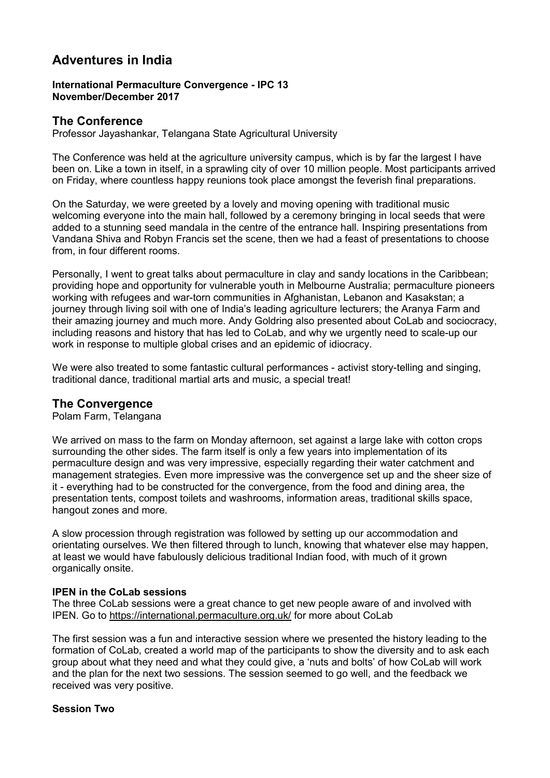# Adventures in India

#### International Permaculture Convergence - IPC 13 November/December 2017

# The Conference

Professor Jayashankar, Telangana State Agricultural University

The Conference was held at the agriculture university campus, which is by far the largest I have been on. Like a town in itself, in a sprawling city of over 10 million people. Most participants arrived on Friday, where countless happy reunions took place amongst the feverish final preparations.

On the Saturday, we were greeted by a lovely and moving opening with traditional music welcoming everyone into the main hall, followed by a ceremony bringing in local seeds that were added to a stunning seed mandala in the centre of the entrance hall. Inspiring presentations from Vandana Shiva and Robyn Francis set the scene, then we had a feast of presentations to choose from, in four different rooms.

Personally, I went to great talks about permaculture in clay and sandy locations in the Caribbean; providing hope and opportunity for vulnerable youth in Melbourne Australia; permaculture pioneers working with refugees and war-torn communities in Afghanistan, Lebanon and Kasakstan; a journey through living soil with one of India's leading agriculture lecturers; the Aranya Farm and their amazing journey and much more. Andy Goldring also presented about CoLab and sociocracy, including reasons and history that has led to CoLab, and why we urgently need to scale-up our work in response to multiple global crises and an epidemic of idiocracy.

We were also treated to some fantastic cultural performances - activist story-telling and singing, traditional dance, traditional martial arts and music, a special treat!

## The Convergence

Polam Farm, Telangana

We arrived on mass to the farm on Monday afternoon, set against a large lake with cotton crops surrounding the other sides. The farm itself is only a few years into implementation of its permaculture design and was very impressive, especially regarding their water catchment and management strategies. Even more impressive was the convergence set up and the sheer size of it - everything had to be constructed for the convergence, from the food and dining area, the presentation tents, compost toilets and washrooms, information areas, traditional skills space, hangout zones and more.

A slow procession through registration was followed by setting up our accommodation and orientating ourselves. We then filtered through to lunch, knowing that whatever else may happen, at least we would have fabulously delicious traditional Indian food, with much of it grown organically onsite.

#### IPEN in the CoLab sessions

The three CoLab sessions were a great chance to get new people aware of and involved with IPEN. Go to <https://international.permaculture.org.uk/> for more about CoLab

The first session was a fun and interactive session where we presented the history leading to the formation of CoLab, created a world map of the participants to show the diversity and to ask each group about what they need and what they could give, a 'nuts and bolts' of how CoLab will work and the plan for the next two sessions. The session seemed to go well, and the feedback we received was very positive.

#### Session Two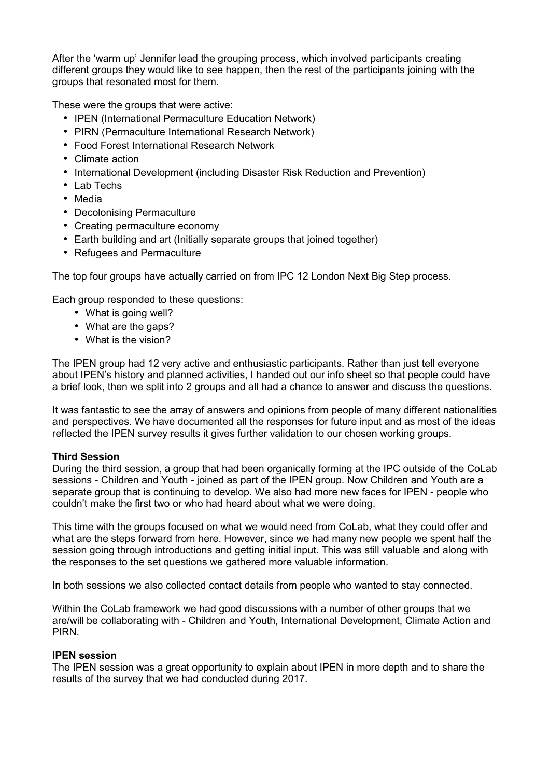After the 'warm up' Jennifer lead the grouping process, which involved participants creating different groups they would like to see happen, then the rest of the participants joining with the groups that resonated most for them.

These were the groups that were active:

- IPEN (International Permaculture Education Network)
- PIRN (Permaculture International Research Network)
- Food Forest International Research Network
- Climate action
- International Development (including Disaster Risk Reduction and Prevention)
- Lab Techs
- Media
- Decolonising Permaculture
- Creating permaculture economy
- Earth building and art (Initially separate groups that joined together)
- Refugees and Permaculture

The top four groups have actually carried on from IPC 12 London Next Big Step process.

Each group responded to these questions:

- What is going well?
- What are the gaps?
- What is the vision?

The IPEN group had 12 very active and enthusiastic participants. Rather than just tell everyone about IPEN's history and planned activities, I handed out our info sheet so that people could have a brief look, then we split into 2 groups and all had a chance to answer and discuss the questions.

It was fantastic to see the array of answers and opinions from people of many different nationalities and perspectives. We have documented all the responses for future input and as most of the ideas reflected the IPEN survey results it gives further validation to our chosen working groups.

## Third Session

During the third session, a group that had been organically forming at the IPC outside of the CoLab sessions - Children and Youth - joined as part of the IPEN group. Now Children and Youth are a separate group that is continuing to develop. We also had more new faces for IPEN - people who couldn't make the first two or who had heard about what we were doing.

This time with the groups focused on what we would need from CoLab, what they could offer and what are the steps forward from here. However, since we had many new people we spent half the session going through introductions and getting initial input. This was still valuable and along with the responses to the set questions we gathered more valuable information.

In both sessions we also collected contact details from people who wanted to stay connected.

Within the CoLab framework we had good discussions with a number of other groups that we are/will be collaborating with - Children and Youth, International Development, Climate Action and PIRN.

## IPEN session

The IPEN session was a great opportunity to explain about IPEN in more depth and to share the results of the survey that we had conducted during 2017.